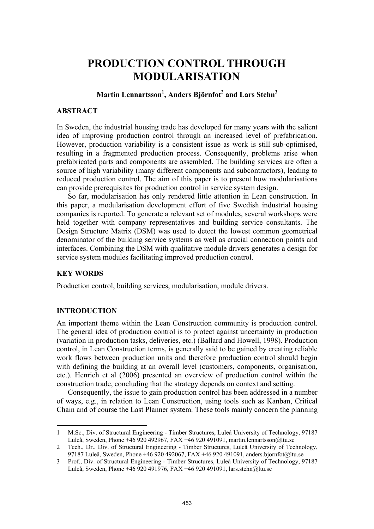# **PRODUCTION CONTROL THROUGH MODULARISATION**

# $\mathbf{M}$ artin Lennartsson $^{1}\!,$  Anders Björnfot $^{2}$  and Lars Stehn $^{3}$

## **ABSTRACT**

In Sweden, the industrial housing trade has developed for many years with the salient idea of improving production control through an increased level of prefabrication. However, production variability is a consistent issue as work is still sub-optimised, resulting in a fragmented production process. Consequently, problems arise when prefabricated parts and components are assembled. The building services are often a source of high variability (many different components and subcontractors), leading to reduced production control. The aim of this paper is to present how modularisations can provide prerequisites for production control in service system design.

So far, modularisation has only rendered little attention in Lean construction. In this paper, a modularisation development effort of five Swedish industrial housing companies is reported. To generate a relevant set of modules, several workshops were held together with company representatives and building service consultants. The Design Structure Matrix (DSM) was used to detect the lowest common geometrical denominator of the building service systems as well as crucial connection points and interfaces. Combining the DSM with qualitative module drivers generates a design for service system modules facilitating improved production control.

## **KEY WORDS**

Production control, building services, modularisation, module drivers.

## **INTRODUCTION**

 $\overline{a}$ 

An important theme within the Lean Construction community is production control. The general idea of production control is to protect against uncertainty in production (variation in production tasks, deliveries, etc.) (Ballard and Howell, 1998). Production control, in Lean Construction terms, is generally said to be gained by creating reliable work flows between production units and therefore production control should begin with defining the building at an overall level (customers, components, organisation, etc.). Henrich et al (2006) presented an overview of production control within the construction trade, concluding that the strategy depends on context and setting.

Consequently, the issue to gain production control has been addressed in a number of ways, e.g., in relation to Lean Construction, using tools such as Kanban, Critical Chain and of course the Last Planner system. These tools mainly concern the planning

<sup>1</sup> M.Sc., Div. of Structural Engineering - Timber Structures, Luleå University of Technology, 97187 Luleå, Sweden, Phone +46 920 492967, FAX +46 920 491091, martin.lennartsson@ltu.se

<sup>2</sup> Tech., Dr., Div. of Structural Engineering - Timber Structures, Luleå University of Technology, 97187 Luleå, Sweden, Phone +46 920 492067, FAX +46 920 491091, anders.bjornfot@ltu.se

<sup>3</sup> Prof., Div. of Structural Engineering - Timber Structures, Luleå University of Technology, 97187 Luleå, Sweden, Phone +46 920 491976, FAX +46 920 491091, lars.stehn@ltu.se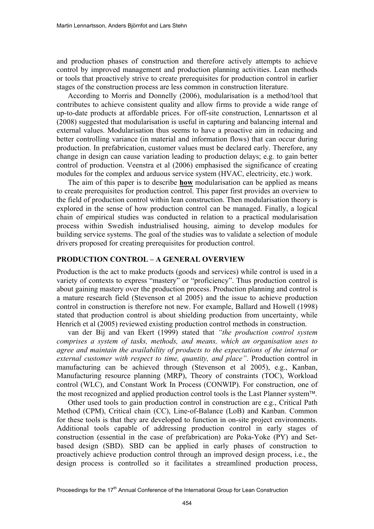and production phases of construction and therefore actively attempts to achieve control by improved management and production planning activities. Lean methods or tools that proactively strive to create prerequisites for production control in earlier stages of the construction process are less common in construction literature.

According to Morris and Donnelly (2006), modularisation is a method/tool that contributes to achieve consistent quality and allow firms to provide a wide range of up-to-date products at affordable prices. For off-site construction, Lennartsson et al (2008) suggested that modularisation is useful in capturing and balancing internal and external values. Modularisation thus seems to have a proactive aim in reducing and better controlling variance (in material and information flows) that can occur during production. In prefabrication, customer values must be declared early. Therefore, any change in design can cause variation leading to production delays; e.g. to gain better control of production. Veenstra et al (2006) emphasised the significance of creating modules for the complex and arduous service system (HVAC, electricity, etc.) work.

The aim of this paper is to describe **how** modularisation can be applied as means to create prerequisites for production control. This paper first provides an overview to the field of production control within lean construction. Then modularisation theory is explored in the sense of how production control can be managed. Finally, a logical chain of empirical studies was conducted in relation to a practical modularisation process within Swedish industrialised housing, aiming to develop modules for building service systems. The goal of the studies was to validate a selection of module drivers proposed for creating prerequisites for production control.

#### **PRODUCTION CONTROL – A GENERAL OVERVIEW**

Production is the act to make products (goods and services) while control is used in a variety of contexts to express "mastery" or "proficiency". Thus production control is about gaining mastery over the production process. Production planning and control is a mature research field (Stevenson et al 2005) and the issue to achieve production control in construction is therefore not new. For example, Ballard and Howell (1998) stated that production control is about shielding production from uncertainty, while Henrich et al (2005) reviewed existing production control methods in construction.

van der Bij and van Ekert (1999) stated that *"the production control system comprises a system of tasks, methods, and means, which an organisation uses to agree and maintain the availability of products to the expectations of the internal or external customer with respect to time, quantity, and place"*. Production control in manufacturing can be achieved through (Stevenson et al 2005), e.g., Kanban, Manufacturing resource planning (MRP), Theory of constraints (TOC), Workload control (WLC), and Constant Work In Process (CONWIP). For construction, one of the most recognized and applied production control tools is the Last Planner system<sup> $\text{TM}$ </sup>.

Other used tools to gain production control in construction are e.g., Critical Path Method (CPM), Critical chain (CC), Line-of-Balance (LoB) and Kanban. Common for these tools is that they are developed to function in on-site project environments. Additional tools capable of addressing production control in early stages of construction (essential in the case of prefabrication) are Poka-Yoke (PY) and Setbased design (SBD). SBD can be applied in early phases of construction to proactively achieve production control through an improved design process, i.e., the design process is controlled so it facilitates a streamlined production process,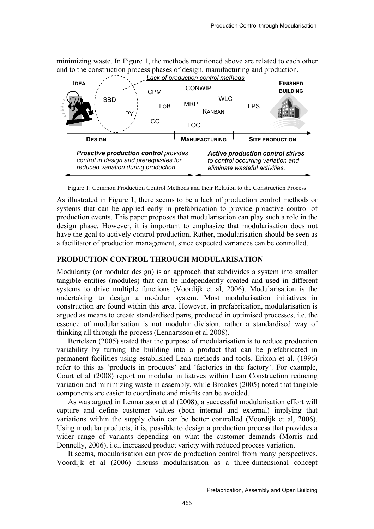minimizing waste. In Figure 1, the methods mentioned above are related to each other and to the construction process phases of design, manufacturing and production.



Figure 1: Common Production Control Methods and their Relation to the Construction Process

As illustrated in Figure 1, there seems to be a lack of production control methods or systems that can be applied early in prefabrication to provide proactive control of production events. This paper proposes that modularisation can play such a role in the design phase. However, it is important to emphasize that modularisation does not have the goal to actively control production. Rather, modularisation should be seen as a facilitator of production management, since expected variances can be controlled.

## **PRODUCTION CONTROL THROUGH MODULARISATION**

Modularity (or modular design) is an approach that subdivides a system into smaller tangible entities (modules) that can be independently created and used in different systems to drive multiple functions (Voordijk et al, 2006). Modularisation is the undertaking to design a modular system. Most modularisation initiatives in construction are found within this area. However, in prefabrication, modularisation is argued as means to create standardised parts, produced in optimised processes, i.e. the essence of modularisation is not modular division, rather a standardised way of thinking all through the process (Lennartsson et al 2008).

Bertelsen (2005) stated that the purpose of modularisation is to reduce production variability by turning the building into a product that can be prefabricated in permanent facilities using established Lean methods and tools. Erixon et al. (1996) refer to this as 'products in products' and 'factories in the factory'. For example, Court et al (2008) report on modular initiatives within Lean Construction reducing variation and minimizing waste in assembly, while Brookes (2005) noted that tangible components are easier to coordinate and misfits can be avoided.

As was argued in Lennartsson et al (2008), a successful modularisation effort will capture and define customer values (both internal and external) implying that variations within the supply chain can be better controlled (Voordijk et al, 2006). Using modular products, it is, possible to design a production process that provides a wider range of variants depending on what the customer demands (Morris and Donnelly, 2006), i.e., increased product variety with reduced process variation.

It seems, modularisation can provide production control from many perspectives. Voordijk et al (2006) discuss modularisation as a three-dimensional concept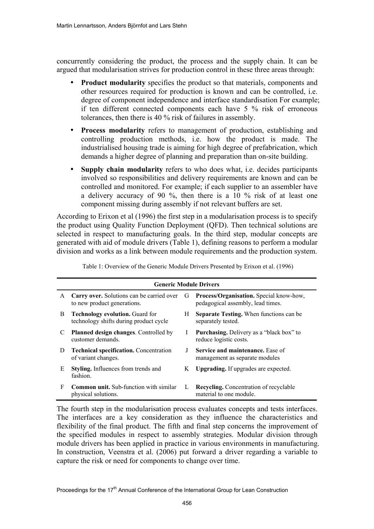concurrently considering the product, the process and the supply chain. It can be argued that modularisation strives for production control in these three areas through:

- **Product modularity** specifies the product so that materials, components and other resources required for production is known and can be controlled, i.e. degree of component independence and interface standardisation For example; if ten different connected components each have 5 % risk of erroneous tolerances, then there is 40 % risk of failures in assembly.
- **Process modularity** refers to management of production, establishing and controlling production methods, i.e. how the product is made. The industrialised housing trade is aiming for high degree of prefabrication, which demands a higher degree of planning and preparation than on-site building.
- **Supply chain modularity** refers to who does what, i.e. decides participants involved so responsibilities and delivery requirements are known and can be controlled and monitored. For example; if each supplier to an assembler have a delivery accuracy of 90 %, then there is a 10 % risk of at least one component missing during assembly if not relevant buffers are set.

According to Erixon et al (1996) the first step in a modularisation process is to specify the product using Quality Function Deployment (QFD). Then technical solutions are selected in respect to manufacturing goals. In the third step, modular concepts are generated with aid of module drivers (Table 1), defining reasons to perform a modular division and works as a link between module requirements and the production system.

| <b>Generic Module Drivers</b> |                                                                                  |              |                                                                              |  |  |  |  |  |
|-------------------------------|----------------------------------------------------------------------------------|--------------|------------------------------------------------------------------------------|--|--|--|--|--|
| A                             | <b>Carry over.</b> Solutions can be carried over<br>to new product generations.  | G            | Process/Organisation. Special know-how,<br>pedagogical assembly, lead times. |  |  |  |  |  |
| B                             | <b>Technology evolution.</b> Guard for<br>technology shifts during product cycle | Н            | <b>Separate Testing.</b> When functions can be<br>separately tested.         |  |  |  |  |  |
| C                             | <b>Planned design changes.</b> Controlled by<br>customer demands.                | $\mathbf{I}$ | <b>Purchasing.</b> Delivery as a "black box" to<br>reduce logistic costs.    |  |  |  |  |  |
| $\Box$                        | <b>Technical specification.</b> Concentration<br>of variant changes.             | J            | <b>Service and maintenance.</b> Ease of<br>management as separate modules    |  |  |  |  |  |
| E                             | <b>Styling.</b> Influences from trends and<br>fashion.                           | K            | <b>Upgrading.</b> If upgrades are expected.                                  |  |  |  |  |  |
| F                             | <b>Common unit.</b> Sub-function with similar<br>physical solutions.             | L            | <b>Recycling.</b> Concentration of recyclable<br>material to one module.     |  |  |  |  |  |

Table 1: Overview of the Generic Module Drivers Presented by Erixon et al. (1996)

The fourth step in the modularisation process evaluates concepts and tests interfaces. The interfaces are a key consideration as they influence the characteristics and flexibility of the final product. The fifth and final step concerns the improvement of the specified modules in respect to assembly strategies. Modular division through module drivers has been applied in practice in various environments in manufacturing. In construction, Veenstra et al. (2006) put forward a driver regarding a variable to capture the risk or need for components to change over time.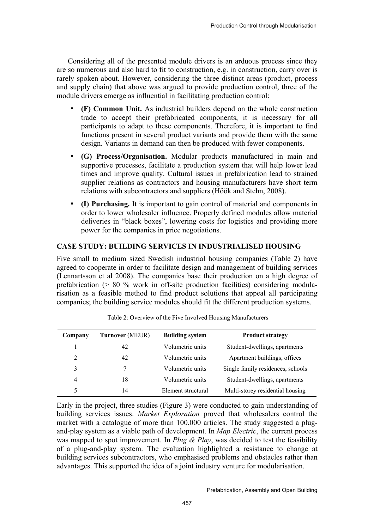Considering all of the presented module drivers is an arduous process since they are so numerous and also hard to fit to construction, e.g. in construction, carry over is rarely spoken about. However, considering the three distinct areas (product, process and supply chain) that above was argued to provide production control, three of the module drivers emerge as influential in facilitating production control:

- **(F) Common Unit.** As industrial builders depend on the whole construction trade to accept their prefabricated components, it is necessary for all participants to adapt to these components. Therefore, it is important to find functions present in several product variants and provide them with the same design. Variants in demand can then be produced with fewer components.
- **(G) Process/Organisation.** Modular products manufactured in main and supportive processes, facilitate a production system that will help lower lead times and improve quality. Cultural issues in prefabrication lead to strained supplier relations as contractors and housing manufacturers have short term relations with subcontractors and suppliers (Höök and Stehn, 2008).
- **(I) Purchasing.** It is important to gain control of material and components in order to lower wholesaler influence. Properly defined modules allow material deliveries in "black boxes", lowering costs for logistics and providing more power for the companies in price negotiations.

## **CASE STUDY: BUILDING SERVICES IN INDUSTRIALISED HOUSING**

Five small to medium sized Swedish industrial housing companies (Table 2) have agreed to cooperate in order to facilitate design and management of building services (Lennartsson et al 2008). The companies base their production on a high degree of prefabrication (> 80 % work in off-site production facilities) considering modularisation as a feasible method to find product solutions that appeal all participating companies; the building service modules should fit the different production systems.

| <b>Turnover</b> (MEUR)<br>Company |    | <b>Building system</b> | <b>Product strategy</b>           |  |  |
|-----------------------------------|----|------------------------|-----------------------------------|--|--|
|                                   | 42 | Volumetric units       | Student-dwellings, apartments     |  |  |
| 2                                 | 42 | Volumetric units       | Apartment buildings, offices      |  |  |
| 3                                 | 7  | Volumetric units       | Single family residences, schools |  |  |
| 4                                 | 18 | Volumetric units       | Student-dwellings, apartments     |  |  |
|                                   | 14 | Element structural     | Multi-storey residential housing  |  |  |

| Table 2: Overview of the Five Involved Housing Manufacturers |  |
|--------------------------------------------------------------|--|
|--------------------------------------------------------------|--|

Early in the project, three studies (Figure 3) were conducted to gain understanding of building services issues. *Market Exploration* proved that wholesalers control the market with a catalogue of more than 100,000 articles. The study suggested a plugand-play system as a viable path of development. In *Map Electric*, the current process was mapped to spot improvement. In *Plug & Play*, was decided to test the feasibility of a plug-and-play system. The evaluation highlighted a resistance to change at building services subcontractors, who emphasised problems and obstacles rather than advantages. This supported the idea of a joint industry venture for modularisation.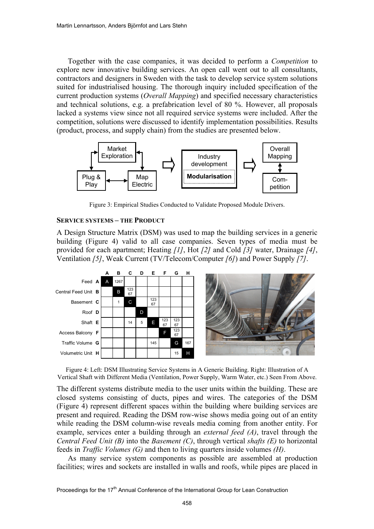Together with the case companies, it was decided to perform a *Competition* to explore new innovative building services. An open call went out to all consultants, contractors and designers in Sweden with the task to develop service system solutions suited for industrialised housing. The thorough inquiry included specification of the current production systems (*Overall Mapping*) and specified necessary characteristics and technical solutions, e.g. a prefabrication level of 80 %. However, all proposals lacked a systems view since not all required service systems were included. After the competition, solutions were discussed to identify implementation possibilities. Results (product, process, and supply chain) from the studies are presented below.



Figure 3: Empirical Studies Conducted to Validate Proposed Module Drivers.

## **SERVICE SYSTEMS – THE PRODUCT**

A Design Structure Matrix (DSM) was used to map the building services in a generic building (Figure 4) valid to all case companies. Seven types of media must be provided for each apartment; Heating *[1]*, Hot *[2]* and Cold *[3]* water, Drainage *[4]*, Ventilation *[5]*, Weak Current (TV/Telecom/Computer *[6]*) and Power Supply *[7]*.



Figure 4: Left: DSM Illustrating Service Systems in A Generic Building. Right: Illustration of A Vertical Shaft with Different Media (Ventilation, Power Supply, Warm Water, etc.) Seen From Above.

The different systems distribute media to the user units within the building. These are closed systems consisting of ducts, pipes and wires. The categories of the DSM (Figure 4) represent different spaces within the building where building services are present and required. Reading the DSM row-wise shows media going out of an entity while reading the DSM column-wise reveals media coming from another entity. For example, services enter a building through an *external feed (A)*, travel through the *Central Feed Unit (B)* into the *Basement (C)*, through vertical *shafts (E)* to horizontal feeds in *Traffic Volumes (G)* and then to living quarters inside volumes *(H)*.

As many service system components as possible are assembled at production facilities; wires and sockets are installed in walls and roofs, while pipes are placed in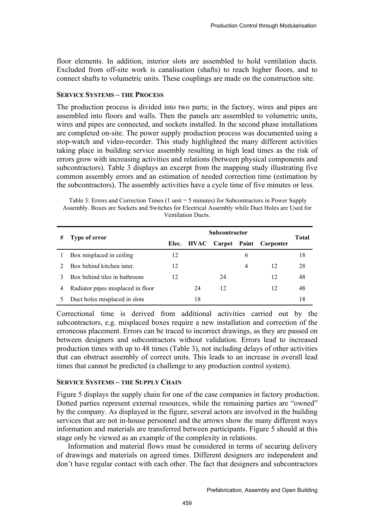floor elements. In addition, interior slots are assembled to hold ventilation ducts. Excluded from off-site work is canalisation (shafts) to reach higher floors, and to connect shafts to volumetric units. These couplings are made on the construction site.

#### **SERVICE SYSTEMS – THE PROCESS**

The production process is divided into two parts; in the factory, wires and pipes are assembled into floors and walls. Then the panels are assembled to volumetric units, wires and pipes are connected, and sockets installed. In the second phase installations are completed on-site. The power supply production process was documented using a stop-watch and video-recorder. This study highlighted the many different activities taking place in building service assembly resulting in high lead times as the risk of errors grow with increasing activities and relations (between physical components and subcontractors). Table 3 displays an excerpt from the mapping study illustrating five common assembly errors and an estimation of needed correction time (estimation by the subcontractors). The assembly activities have a cycle time of five minutes or less.

 Table 3: Errors and Correction Times (1 unit = 5 minutes) for Subcontractors in Power Supply Assembly. Boxes are Sockets and Switches for Electrical Assembly while Duct Holes are Used for Ventilation Ducts.

| # | Type of error                     | <b>Subcontractor</b> |    |    |   |                                    | Total |
|---|-----------------------------------|----------------------|----|----|---|------------------------------------|-------|
|   |                                   | Elec.                |    |    |   | <b>HVAC</b> Carpet Paint Carpenter |       |
| 1 | Box misplaced in ceiling          | 12                   |    |    | 6 |                                    | 18    |
|   | Box behind kitchen inter.         | 12                   |    |    | 4 | 12                                 | 28    |
|   | Box behind tiles in bathroom      | 12                   |    | 24 |   | 12                                 | 48    |
| 4 | Radiator pipes misplaced in floor |                      | 24 | 12 |   | 12                                 | 48    |
|   | Duct holes misplaced in slots     |                      | 18 |    |   |                                    | 18    |

Correctional time is derived from additional activities carried out by the subcontractors, e.g. misplaced boxes require a new installation and correction of the erroneous placement. Errors can be traced to incorrect drawings, as they are passed on between designers and subcontractors without validation. Errors lead to increased production times with up to 48 times (Table 3), not including delays of other activities that can obstruct assembly of correct units. This leads to an increase in overall lead times that cannot be predicted (a challenge to any production control system).

## **SERVICE SYSTEMS – THE SUPPLY CHAIN**

Figure 5 displays the supply chain for one of the case companies in factory production. Dotted parties represent external resources, while the remaining parties are "owned" by the company. As displayed in the figure, several actors are involved in the building services that are not in-house personnel and the arrows show the many different ways information and materials are transferred between participants. Figure 5 should at this stage only be viewed as an example of the complexity in relations.

Information and material flows must be considered in terms of securing delivery of drawings and materials on agreed times. Different designers are independent and don't have regular contact with each other. The fact that designers and subcontractors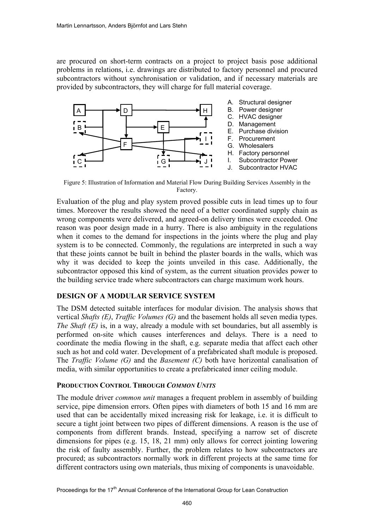are procured on short-term contracts on a project to project basis pose additional problems in relations, i.e. drawings are distributed to factory personnel and procured subcontractors without synchronisation or validation, and if necessary materials are provided by subcontractors, they will charge for full material coverage.



Figure 5: Illustration of Information and Material Flow During Building Services Assembly in the Factory.

Evaluation of the plug and play system proved possible cuts in lead times up to four times. Moreover the results showed the need of a better coordinated supply chain as wrong components were delivered, and agreed-on delivery times were exceeded. One reason was poor design made in a hurry. There is also ambiguity in the regulations when it comes to the demand for inspections in the joints where the plug and play system is to be connected. Commonly, the regulations are interpreted in such a way that these joints cannot be built in behind the plaster boards in the walls, which was why it was decided to keep the joints unveiled in this case. Additionally, the subcontractor opposed this kind of system, as the current situation provides power to the building service trade where subcontractors can charge maximum work hours.

# **DESIGN OF A MODULAR SERVICE SYSTEM**

The DSM detected suitable interfaces for modular division. The analysis shows that vertical *Shafts (E)*, *Traffic Volumes (G)* and the basement holds all seven media types. *The Shaft (E)* is, in a way, already a module with set boundaries, but all assembly is performed on-site which causes interferences and delays. There is a need to coordinate the media flowing in the shaft, e.g. separate media that affect each other such as hot and cold water. Development of a prefabricated shaft module is proposed. The *Traffic Volume (G)* and the *Basement (C)* both have horizontal canalisation of media, with similar opportunities to create a prefabricated inner ceiling module.

## **PRODUCTION CONTROL THROUGH** *COMMON UNITS*

The module driver *common unit* manages a frequent problem in assembly of building service, pipe dimension errors. Often pipes with diameters of both 15 and 16 mm are used that can be accidentally mixed increasing risk for leakage, i.e. it is difficult to secure a tight joint between two pipes of different dimensions. A reason is the use of components from different brands. Instead, specifying a narrow set of discrete dimensions for pipes (e.g. 15, 18, 21 mm) only allows for correct jointing lowering the risk of faulty assembly. Further, the problem relates to how subcontractors are procured; as subcontractors normally work in different projects at the same time for different contractors using own materials, thus mixing of components is unavoidable.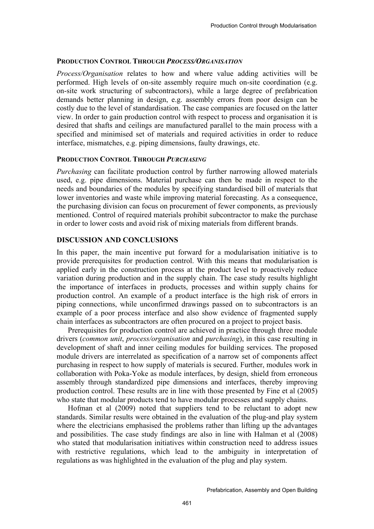#### **PRODUCTION CONTROL THROUGH** *PROCESS/ORGANISATION*

*Process/Organisation* relates to how and where value adding activities will be performed. High levels of on-site assembly require much on-site coordination (e.g. on-site work structuring of subcontractors), while a large degree of prefabrication demands better planning in design, e.g. assembly errors from poor design can be costly due to the level of standardisation. The case companies are focused on the latter view. In order to gain production control with respect to process and organisation it is desired that shafts and ceilings are manufactured parallel to the main process with a specified and minimised set of materials and required activities in order to reduce interface, mismatches, e.g. piping dimensions, faulty drawings, etc.

#### **PRODUCTION CONTROL THROUGH** *PURCHASING*

*Purchasing* can facilitate production control by further narrowing allowed materials used, e.g. pipe dimensions. Material purchase can then be made in respect to the needs and boundaries of the modules by specifying standardised bill of materials that lower inventories and waste while improving material forecasting. As a consequence, the purchasing division can focus on procurement of fewer components, as previously mentioned. Control of required materials prohibit subcontractor to make the purchase in order to lower costs and avoid risk of mixing materials from different brands.

## **DISCUSSION AND CONCLUSIONS**

In this paper, the main incentive put forward for a modularisation initiative is to provide prerequisites for production control. With this means that modularisation is applied early in the construction process at the product level to proactively reduce variation during production and in the supply chain. The case study results highlight the importance of interfaces in products, processes and within supply chains for production control. An example of a product interface is the high risk of errors in piping connections, while unconfirmed drawings passed on to subcontractors is an example of a poor process interface and also show evidence of fragmented supply chain interfaces as subcontractors are often procured on a project to project basis.

Prerequisites for production control are achieved in practice through three module drivers (*common unit*, *process/organisation* and *purchasing*), in this case resulting in development of shaft and inner ceiling modules for building services. The proposed module drivers are interrelated as specification of a narrow set of components affect purchasing in respect to how supply of materials is secured. Further, modules work in collaboration with Poka-Yoke as module interfaces, by design, shield from erroneous assembly through standardized pipe dimensions and interfaces, thereby improving production control. These results are in line with those presented by Fine et al (2005) who state that modular products tend to have modular processes and supply chains.

Hofman et al (2009) noted that suppliers tend to be reluctant to adopt new standards. Similar results were obtained in the evaluation of the plug-and play system where the electricians emphasised the problems rather than lifting up the advantages and possibilities. The case study findings are also in line with Halman et al (2008) who stated that modularisation initiatives within construction need to address issues with restrictive regulations, which lead to the ambiguity in interpretation of regulations as was highlighted in the evaluation of the plug and play system.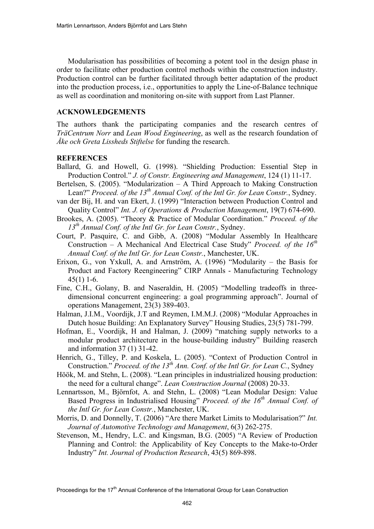Modularisation has possibilities of becoming a potent tool in the design phase in order to facilitate other production control methods within the construction industry. Production control can be further facilitated through better adaptation of the product into the production process, i.e., opportunities to apply the Line-of-Balance technique as well as coordination and monitoring on-site with support from Last Planner.

#### **ACKNOWLEDGEMENTS**

The authors thank the participating companies and the research centres of *TräCentrum Norr* and *Lean Wood Engineering*, as well as the research foundation of *Åke och Greta Lissheds Stiftelse* for funding the research.

#### **REFERENCES**

- Ballard, G. and Howell, G. (1998). "Shielding Production: Essential Step in Production Control." *J. of Constr. Engineering and Management*, 124 (1) 11-17.
- Bertelsen, S. (2005). "Modularization A Third Approach to Making Construction Lean?" *Proceed. of the 13<sup>th</sup> Annual Conf. of the Intl Gr. for Lean Constr.*, Sydney.
- van der Bij, H. and van Ekert, J. (1999) "Interaction between Production Control and Quality Control" *Int. J. of Operations & Production Management*, 19(7) 674-690.
- Brookes, A. (2005). "Theory & Practice of Modular Coordination." *Proceed. of the 13th Annual Conf. of the Intl Gr. for Lean Constr.*, Sydney.
- Court, P. Pasquire, C. and Gibb, A. (2008) "Modular Assembly In Healthcare Construction – A Mechanical And Electrical Case Study" *Proceed. of the 16th Annual Conf. of the Intl Gr. for Lean Constr.*, Manchester, UK.
- Erixon, G., von Yxkull, A. and Arnström, A. (1996) "Modularity the Basis for Product and Factory Reengineering" CIRP Annals - Manufacturing Technology 45(1) 1-6.
- Fine, C.H., Golany, B. and Naseraldin, H. (2005) "Modelling tradeoffs in threedimensional concurrent engineering: a goal programming approach". Journal of operations Management, 23(3) 389-403.
- Halman, J.I.M., Voordijk, J.T and Reymen, I.M.M.J. (2008) "Modular Approaches in Dutch hosue Building: An Explanatory Survey" Housing Studies, 23(5) 781-799.
- Hofman, E., Voordijk, H and Halman, J. (2009) "matching supply networks to a modular product architecture in the house-building industry" Building reaserch and information 37 (1) 31-42.
- Henrich, G., Tilley, P. and Koskela, L. (2005). "Context of Production Control in Construction." *Proceed. of the 13<sup>th</sup> Ann. Conf. of the Intl Gr. for Lean C.*, Sydney
- Höök, M. and Stehn, L. (2008). "Lean principles in industrialized housing production: the need for a cultural change". *Lean Construction Journal* (2008) 20-33.
- Lennartsson, M., Björnfot, A. and Stehn, L. (2008) "Lean Modular Design: Value Based Progress in Industrialised Housing" *Proceed. of the 16<sup>th</sup> Annual Conf. of the Intl Gr. for Lean Constr.*, Manchester, UK.
- Morris, D. and Donnelly, T. (2006) "Are there Market Limits to Modularisation?" *Int. Journal of Automotive Technology and Management*, 6(3) 262-275.
- Stevenson, M., Hendry, L.C. and Kingsman, B.G. (2005) "A Review of Production Planning and Control: the Applicability of Key Concepts to the Make-to-Order Industry" *Int. Journal of Production Research*, 43(5) 869-898.

Proceedings for the 17<sup>th</sup> Annual Conference of the International Group for Lean Construction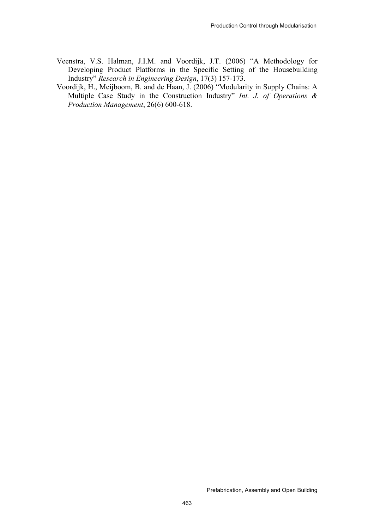- Veenstra, V.S. Halman, J.I.M. and Voordijk, J.T. (2006) "A Methodology for Developing Product Platforms in the Specific Setting of the Housebuilding Industry" *Research in Engineering Design*, 17(3) 157-173.
- Voordijk, H., Meijboom, B. and de Haan, J. (2006) "Modularity in Supply Chains: A Multiple Case Study in the Construction Industry" *Int. J. of Operations & Production Management*, 26(6) 600-618.